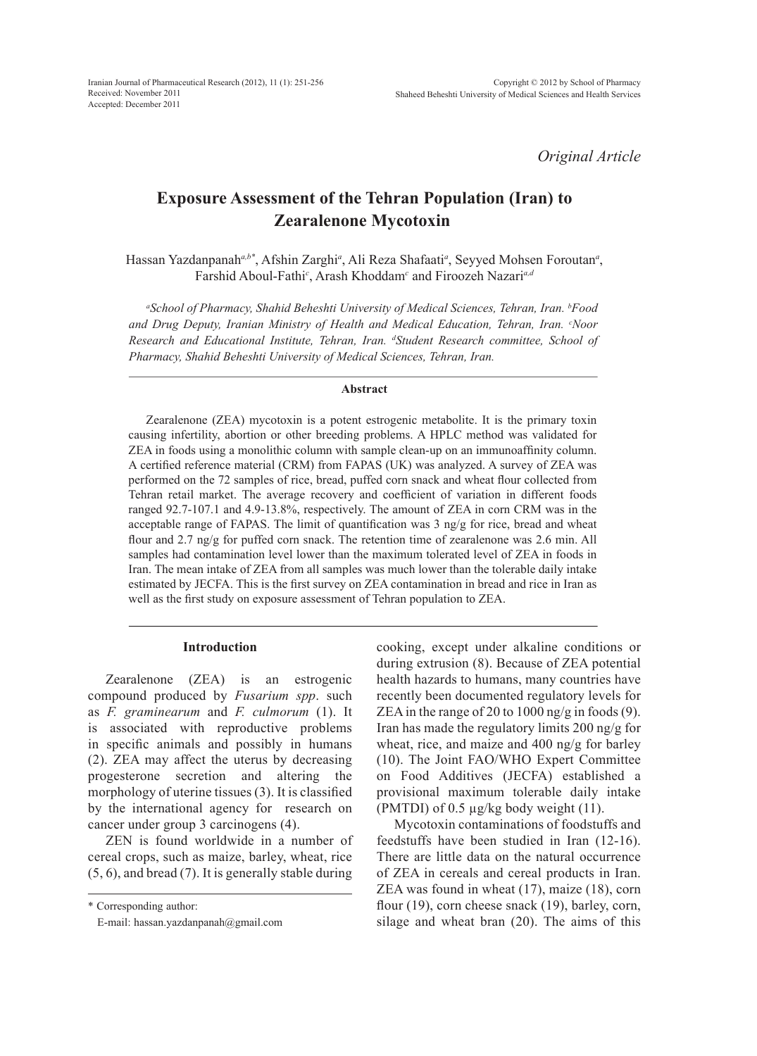*Original Article*

# **Exposure Assessment of the Tehran Population (Iran) to Zearalenone Mycotoxin**

Hassan Yazdanpanah<sup>a,b\*</sup>, Afshin Zarghi<sup>a</sup>, Ali Reza Shafaati<sup>a</sup>, Seyyed Mohsen Foroutan<sup>a</sup>, Farshid Aboul-Fathi*<sup>c</sup>* , Arash Khoddam*<sup>c</sup>* and Firoozeh Nazari*a,d*

*a School of Pharmacy, Shahid Beheshti University of Medical Sciences, Tehran, Iran. b Food and Drug Deputy, Iranian Ministry of Health and Medical Education, Tehran, Iran. c Noor Research and Educational Institute, Tehran, Iran. d Student Research committee, School of Pharmacy, Shahid Beheshti University of Medical Sciences, Tehran, Iran.*

## **Abstract**

Zearalenone (ZEA) mycotoxin is a potent estrogenic metabolite. It is the primary toxin causing infertility, abortion or other breeding problems. A HPLC method was validated for ZEA in foods using a monolithic column with sample clean-up on an immunoaffinity column. A certified reference material (CRM) from FAPAS (UK) was analyzed. A survey of ZEA was performed on the 72 samples of rice, bread, puffed corn snack and wheat flour collected from Tehran retail market. The average recovery and coefficient of variation in different foods ranged 92.7-107.1 and 4.9-13.8%, respectively. The amount of ZEA in corn CRM was in the acceptable range of FAPAS. The limit of quantification was  $3 \text{ ng/g}$  for rice, bread and wheat flour and 2.7 ng/g for puffed corn snack. The retention time of zearalenone was 2.6 min. All samples had contamination level lower than the maximum tolerated level of ZEA in foods in Iran. The mean intake of ZEA from all samples was much lower than the tolerable daily intake estimated by JECFA. This is the first survey on ZEA contamination in bread and rice in Iran as well as the first study on exposure assessment of Tehran population to ZEA.

#### **Introduction**

Zearalenone (ZEA) is an estrogenic compound produced by *Fusarium spp*. such as *F. graminearum* and *F. culmorum* (1). It is associated with reproductive problems in specific animals and possibly in humans (2). ZEA may affect the uterus by decreasing progesterone secretion and altering the morphology of uterine tissues (3). It is classified by the international agency for research on cancer under group 3 carcinogens (4).

ZEN is found worldwide in a number of cereal crops, such as maize, barley, wheat, rice (5, 6), and bread (7). It is generally stable during

\* Corresponding author:

cooking, except under alkaline conditions or during extrusion (8). Because of ZEA potential health hazards to humans, many countries have recently been documented regulatory levels for ZEA in the range of 20 to 1000 ng/g in foods (9). Iran has made the regulatory limits 200 ng/g for wheat, rice, and maize and 400 ng/g for barley (10). The Joint FAO/WHO Expert Committee on Food Additives (JECFA) established a provisional maximum tolerable daily intake (PMTDI) of 0.5  $\mu$ g/kg body weight (11).

Mycotoxin contaminations of foodstuffs and feedstuffs have been studied in Iran (12-16). There are little data on the natural occurrence of ZEA in cereals and cereal products in Iran. ZEA was found in wheat (17), maize (18), corn flour (19), corn cheese snack (19), barley, corn, silage and wheat bran (20). The aims of this

E-mail: hassan.yazdanpanah@gmail.com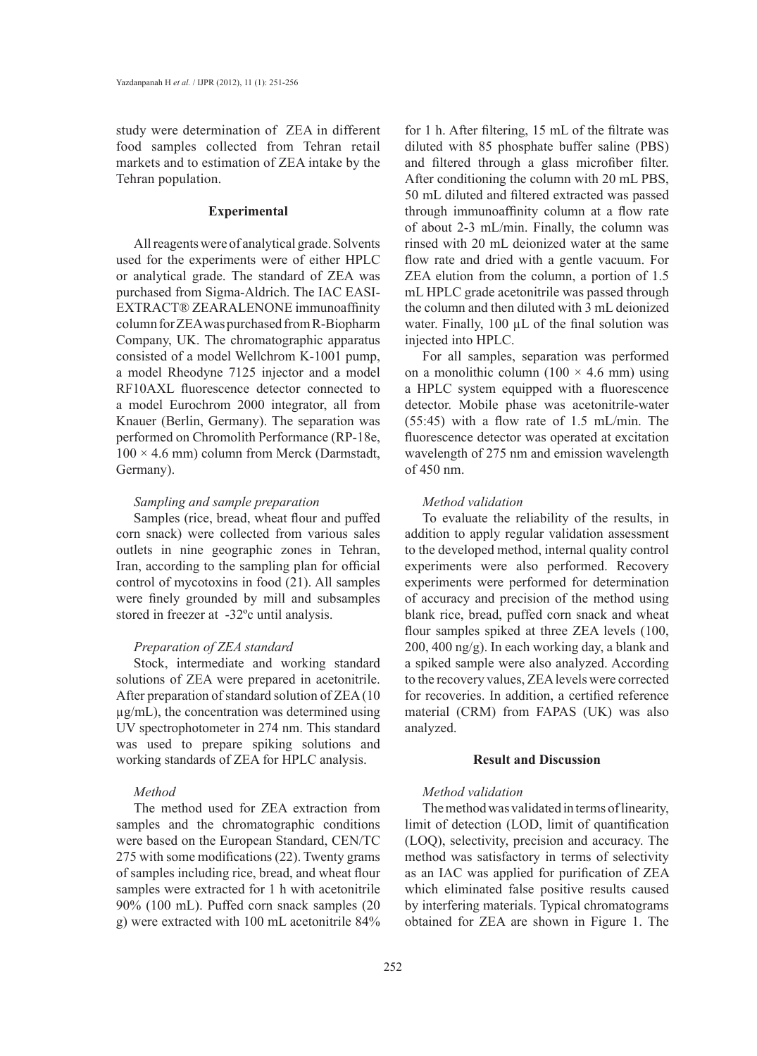study were determination of ZEA in different food samples collected from Tehran retail markets and to estimation of ZEA intake by the Tehran population.

### **Experimental**

All reagents were of analytical grade. Solvents used for the experiments were of either HPLC or analytical grade. The standard of ZEA was purchased from Sigma-Aldrich. The IAC EASI-EXTRACT® ZEARALENONE immunoaffinity column for ZEA was purchased from R-Biopharm Company, UK. The chromatographic apparatus consisted of a model Wellchrom K-1001 pump, a model Rheodyne 7125 injector and a model RF10AXL fluorescence detector connected to a model Eurochrom 2000 integrator, all from Knauer (Berlin, Germany). The separation was performed on Chromolith Performance (RP-18e,  $100 \times 4.6$  mm) column from Merck (Darmstadt, Germany).

## *Sampling and sample preparation*

Samples (rice, bread, wheat flour and puffed corn snack) were collected from various sales outlets in nine geographic zones in Tehran, Iran, according to the sampling plan for official control of mycotoxins in food (21). All samples were finely grounded by mill and subsamples stored in freezer at -32ºc until analysis.

## *Preparation of ZEA standard*

Stock, intermediate and working standard solutions of ZEA were prepared in acetonitrile. After preparation of standard solution of ZEA (10 µg/mL), the concentration was determined using UV spectrophotometer in 274 nm. This standard was used to prepare spiking solutions and working standards of ZEA for HPLC analysis.

## *Method*

The method used for ZEA extraction from samples and the chromatographic conditions were based on the European Standard, CEN/TC 275 with some modifications (22). Twenty grams of samples including rice, bread, and wheat flour samples were extracted for 1 h with acetonitrile 90% (100 mL). Puffed corn snack samples (20 g) were extracted with 100 mL acetonitrile 84% for 1 h. After filtering, 15 mL of the filtrate was diluted with 85 phosphate buffer saline (PBS) and filtered through a glass microfiber filter. After conditioning the column with 20 mL PBS, 50 mL diluted and filtered extracted was passed through immunoaffinity column at a flow rate of about 2-3 mL/min. Finally, the column was rinsed with 20 mL deionized water at the same flow rate and dried with a gentle vacuum. For ZEA elution from the column, a portion of 1.5 mL HPLC grade acetonitrile was passed through the column and then diluted with 3 mL deionized water. Finally,  $100 \mu L$  of the final solution was injected into HPLC.

For all samples, separation was performed on a monolithic column  $(100 \times 4.6 \text{ mm})$  using a HPLC system equipped with a fluorescence detector. Mobile phase was acetonitrile-water (55:45) with a flow rate of 1.5 mL/min. The fluorescence detector was operated at excitation wavelength of 275 nm and emission wavelength of 450 nm.

## *Method validation*

To evaluate the reliability of the results, in addition to apply regular validation assessment to the developed method, internal quality control experiments were also performed. Recovery experiments were performed for determination of accuracy and precision of the method using blank rice, bread, puffed corn snack and wheat flour samples spiked at three ZEA levels (100, 200, 400 ng/g). In each working day, a blank and a spiked sample were also analyzed. According to the recovery values, ZEA levels were corrected for recoveries. In addition, a certified reference material (CRM) from FAPAS (UK) was also analyzed.

## **Result and Discussion**

# *Method validation*

The method was validated in terms of linearity, limit of detection (LOD, limit of quantification (LOQ), selectivity, precision and accuracy. The method was satisfactory in terms of selectivity as an IAC was applied for purification of ZEA which eliminated false positive results caused by interfering materials. Typical chromatograms obtained for ZEA are shown in Figure 1. The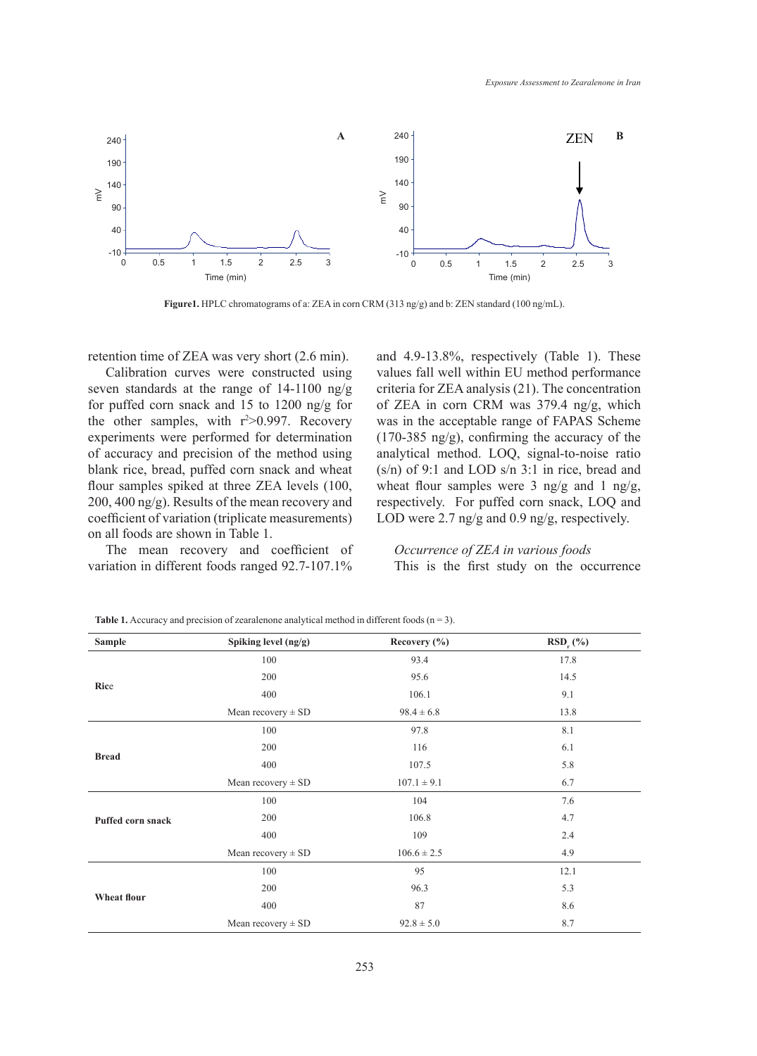

**Figure1.** HPLC chromatograms of a: ZEA in corn CRM (313 ng/g) and b: ZEN standard (100 ng/mL).

retention time of ZEA was very short (2.6 min).

Calibration curves were constructed using seven standards at the range of 14-1100 ng/g for puffed corn snack and 15 to 1200 ng/g for the other samples, with  $r^2 > 0.997$ . Recovery experiments were performed for determination of accuracy and precision of the method using blank rice, bread, puffed corn snack and wheat flour samples spiked at three ZEA levels (100, 200, 400 ng/g). Results of the mean recovery and coefficient of variation (triplicate measurements) on all foods are shown in Table 1.

The mean recovery and coefficient of variation in different foods ranged 92.7-107.1% and 4.9-13.8%, respectively (Table 1). These values fall well within EU method performance criteria for ZEA analysis (21). The concentration of ZEA in corn CRM was 379.4 ng/g, which was in the acceptable range of FAPAS Scheme (170-385 ng/g), confirming the accuracy of the analytical method. LOQ, signal-to-noise ratio (s/n) of 9:1 and LOD s/n 3:1 in rice, bread and wheat flour samples were 3 ng/g and 1 ng/g, respectively. For puffed corn snack, LOQ and LOD were 2.7 ng/g and 0.9 ng/g, respectively.

# *Occurrence of ZEA in various foods*

This is the first study on the occurrence

| <b>Sample</b>            | Spiking level (ng/g)   | Recovery $(\% )$ | $RSD_r$ (%) |
|--------------------------|------------------------|------------------|-------------|
| Rice                     | 100                    | 93.4             | 17.8        |
|                          | 200                    | 95.6             | 14.5        |
|                          | 400                    | 106.1            | 9.1         |
|                          | Mean recovery $\pm$ SD | $98.4 \pm 6.8$   | 13.8        |
| <b>Bread</b>             | 100                    | 97.8             | 8.1         |
|                          | 200                    | 116              | 6.1         |
|                          | 400                    | 107.5            | 5.8         |
|                          | Mean recovery $\pm$ SD | $107.1 \pm 9.1$  | 6.7         |
| <b>Puffed corn snack</b> | 100                    | 104              | 7.6         |
|                          | 200                    | 106.8            | 4.7         |
|                          | 400                    | 109              | 2.4         |
|                          | Mean recovery $\pm$ SD | $106.6 \pm 2.5$  | 4.9         |
| Wheat flour              | 100                    | 95               | 12.1        |
|                          | 200                    | 96.3             | 5.3         |
|                          | 400                    | 87               | 8.6         |
|                          | Mean recovery $\pm$ SD | $92.8 \pm 5.0$   | 8.7         |

**Table 1.** Accuracy and precision of zearalenone analytical method in different foods  $(n = 3)$ .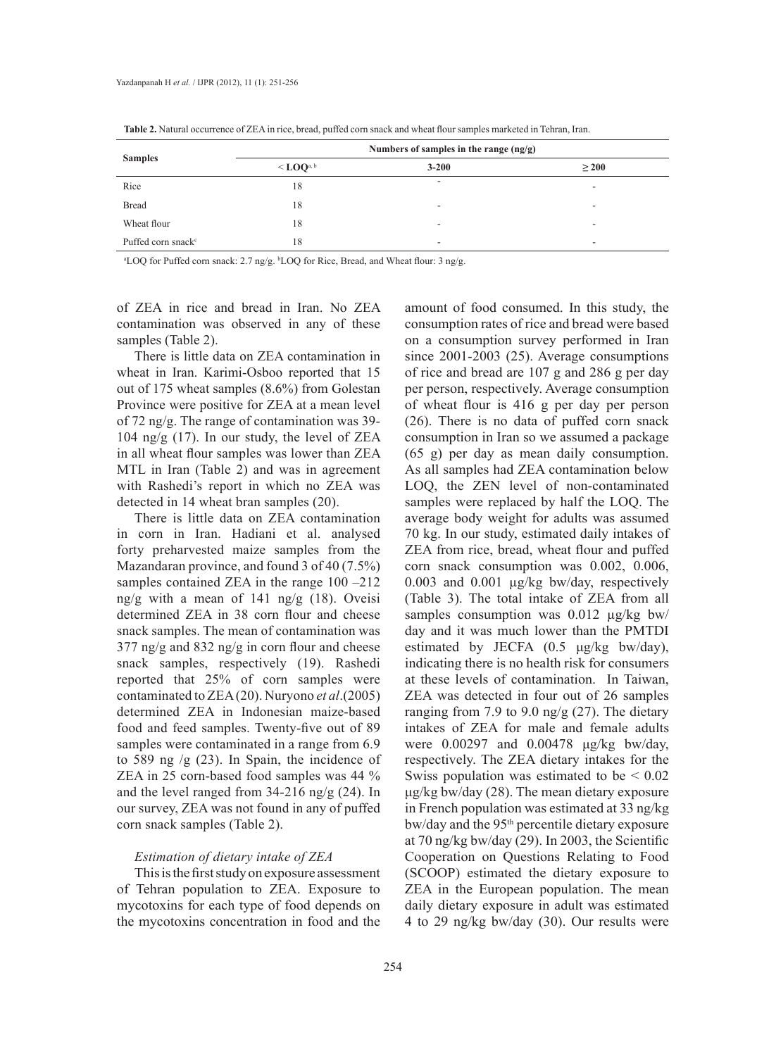| <b>Samples</b>                 | Numbers of samples in the range $(ng/g)$ |           |            |  |
|--------------------------------|------------------------------------------|-----------|------------|--|
|                                | $\leq$ LOQa, b                           | $3 - 200$ | $\geq 200$ |  |
| Rice                           | 18                                       | ۰         | $\sim$     |  |
| <b>Bread</b>                   | 18                                       | ۰         | ۰          |  |
| Wheat flour                    | 18                                       | ۰         | ۰          |  |
| Puffed corn snack <sup>c</sup> | 18                                       |           |            |  |

**Table 2.** Natural occurrence of ZEA in rice, bread, puffed corn snack and wheat flour samples marketed in Tehran, Iran.

a LOQ for Puffed corn snack: 2.7 ng/g. <sup>b</sup> LOQ for Rice, Bread, and Wheat flour: 3 ng/g.

of ZEA in rice and bread in Iran. No ZEA contamination was observed in any of these samples (Table 2).

There is little data on ZEA contamination in wheat in Iran. Karimi-Osboo reported that 15 out of 175 wheat samples (8.6%) from Golestan Province were positive for ZEA at a mean level of 72 ng/g. The range of contamination was 39- 104 ng/g (17). In our study, the level of ZEA in all wheat flour samples was lower than ZEA MTL in Iran (Table 2) and was in agreement with Rashedi's report in which no ZEA was detected in 14 wheat bran samples (20).

There is little data on ZEA contamination in corn in Iran. Hadiani et al. analysed forty preharvested maize samples from the Mazandaran province, and found 3 of 40 (7.5%) samples contained ZEA in the range  $100 - 212$ ng/g with a mean of 141 ng/g (18). Oveisi determined ZEA in 38 corn flour and cheese snack samples. The mean of contamination was 377 ng/g and 832 ng/g in corn flour and cheese snack samples, respectively (19). Rashedi reported that 25% of corn samples were contaminated to ZEA (20). Nuryono *et al*.(2005) determined ZEA in Indonesian maize-based food and feed samples. Twenty-five out of 89 samples were contaminated in a range from  $6.9$ to 589 ng  $/g$  (23). In Spain, the incidence of ZEA in 25 corn-based food samples was 44 % and the level ranged from 34-216 ng/g (24). In our survey, ZEA was not found in any of puffed corn snack samples (Table 2).

## *Estimation of dietary intake of ZEA*

This is the first study on exposure assessment of Tehran population to ZEA. Exposure to mycotoxins for each type of food depends on the mycotoxins concentration in food and the

amount of food consumed. In this study, the consumption rates of rice and bread were based on a consumption survey performed in Iran since 2001-2003 (25). Average consumptions of rice and bread are 107 g and 286 g per day per person, respectively. Average consumption of wheat flour is 416 g per day per person (26). There is no data of puffed corn snack consumption in Iran so we assumed a package (65 g) per day as mean daily consumption. As all samples had ZEA contamination below LOQ, the ZEN level of non-contaminated samples were replaced by half the LOQ. The average body weight for adults was assumed 70 kg. In our study, estimated daily intakes of ZEA from rice, bread, wheat flour and puffed corn snack consumption was 0.002, 0.006, 0.003 and 0.001 µg/kg bw/day, respectively (Table 3). The total intake of ZEA from all samples consumption was 0.012  $\mu$ g/kg bw/ day and it was much lower than the PMTDI estimated by JECFA  $(0.5 \text{ }\mu\text{g/kg} \text{ }})$  bw/day), indicating there is no health risk for consumers at these levels of contamination. In Taiwan, ZEA was detected in four out of 26 samples ranging from 7.9 to 9.0 ng/g  $(27)$ . The dietary intakes of ZEA for male and female adults were 0.00297 and 0.00478 μg/kg bw/day, respectively. The ZEA dietary intakes for the Swiss population was estimated to be  $\leq 0.02$ μg/kg bw/day (28). The mean dietary exposure in French population was estimated at 33 ng/kg bw/day and the 95<sup>th</sup> percentile dietary exposure at 70 ng/kg bw/day (29). In 2003, the Scientific Cooperation on Questions Relating to Food (SCOOP) estimated the dietary exposure to ZEA in the European population. The mean daily dietary exposure in adult was estimated 4 to 29 ng/kg bw/day (30). Our results were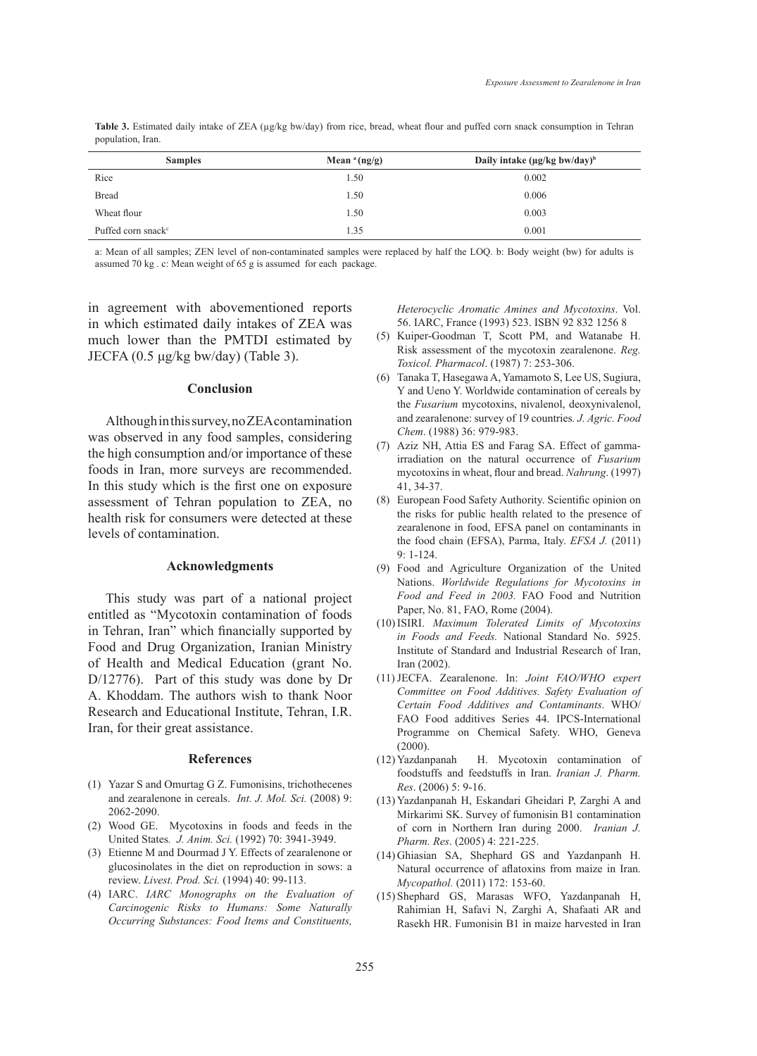| population, Iran. |                 |                                                |  |
|-------------------|-----------------|------------------------------------------------|--|
| <b>Samples</b>    | Mean $a$ (ng/g) | Daily intake ( $\mu$ g/kg bw/day) <sup>b</sup> |  |
| Dias              |                 | 0.002                                          |  |

Table 3. Estimated daily intake of ZEA ( $\mu$ g/kg bw/day) from rice, bread, wheat flour and puffed corn snack consumption in Tehran

| <b>Samples</b>                 | Mean $a$ (ng/g) | Daily intake ( $\mu$ g/kg bw/day) <sup>b</sup> |  |
|--------------------------------|-----------------|------------------------------------------------|--|
| Rice                           | 1.50            | 0.002                                          |  |
| <b>Bread</b>                   | 1.50            | 0.006                                          |  |
| Wheat flour                    | 1.50            | 0.003                                          |  |
| Puffed corn snack <sup>c</sup> | 1.35            | 0.001                                          |  |

a: Mean of all samples; ZEN level of non-contaminated samples were replaced by half the LOQ. b: Body weight (bw) for adults is assumed 70 kg . c: Mean weight of 65 g is assumed for each package.

in agreement with abovementioned reports in which estimated daily intakes of ZEA was much lower than the PMTDI estimated by JECFA (0.5 μg/kg bw/day) (Table 3).

### **Conclusion**

Although in this survey, no ZEA contamination was observed in any food samples, considering the high consumption and/or importance of these foods in Iran, more surveys are recommended. In this study which is the first one on exposure assessment of Tehran population to ZEA, no health risk for consumers were detected at these levels of contamination.

## **Acknowledgments**

This study was part of a national project entitled as "Mycotoxin contamination of foods in Tehran, Iran" which financially supported by Food and Drug Organization, Iranian Ministry of Health and Medical Education (grant No. D/12776). Part of this study was done by Dr A. Khoddam. The authors wish to thank Noor Research and Educational Institute, Tehran, I.R. Iran, for their great assistance.

#### **References**

- Yazar S and Omurtag G Z. Fumonisins, trichothecenes (1) and zearalenone in cereals. *Int. J. Mol. Sci.* (2008) 9: 2062-2090.
- Wood GE. Mycotoxins in foods and feeds in the (2) United States*. J. Anim. Sci.* (1992) 70: 3941-3949.
- Etienne M and Dourmad J Y. Effects of zearalenone or (3) glucosinolates in the diet on reproduction in sows: a review. *Livest. Prod. Sci.* (1994) 40: 99-113.
- IARC. *IARC Monographs on the Evaluation of*  (4) *Carcinogenic Risks to Humans: Some Naturally Occurring Substances: Food Items and Constituents,*

*Heterocyclic Aromatic Amines and Mycotoxins*. Vol. 56. IARC, France (1993) 523. ISBN 92 832 1256 8

- (5) Kuiper-Goodman T, Scott PM, and Watanabe H. Risk assessment of the mycotoxin zearalenone. *Reg. Toxicol. Pharmacol*. (1987) 7: 253-306.
- Tanaka T, Hasegawa A, Yamamoto S, Lee US, Sugiura, (6) Y and Ueno Y. Worldwide contamination of cereals by the *Fusarium* mycotoxins, nivalenol, deoxynivalenol, and zearalenone: survey of 19 countries*. J. Agric. Food Chem*. (1988) 36: 979-983.
- (7) Aziz NH, Attia ES and Farag SA. Effect of gammairradiation on the natural occurrence of *Fusarium* mycotoxins in wheat, flour and bread. *Nahrung*. (1997) 41, 34-37.
- European Food Safety Authority. Scientific opinion on (8) the risks for public health related to the presence of zearalenone in food, EFSA panel on contaminants in the food chain (EFSA), Parma, Italy. *EFSA J.* (2011) 9: 1-124.
- Food and Agriculture Organization of the United (9) Nations. *Worldwide Regulations for Mycotoxins in Food and Feed in 2003.* FAO Food and Nutrition Paper, No. 81, FAO, Rome (2004).
- ISIRI. *Maximum Tolerated Limits of Mycotoxins*  (10) *in Foods and Feeds.* National Standard No. 5925. Institute of Standard and Industrial Research of Iran, Iran (2002).
- JECFA. Zearalenone. In: *Joint FAO/WHO expert*  (11) *Committee on Food Additives. Safety Evaluation of Certain Food Additives and Contaminants*. WHO/ FAO Food additives Series 44. IPCS-International Programme on Chemical Safety. WHO, Geneva (2000).
- H. Mycotoxin contamination of foodstuffs and feedstuffs in Iran. *Iranian J. Pharm. Res*. (2006) 5: 9-16. (12) Yazdanpanah
- (13) Yazdanpanah H, Eskandari Gheidari P, Zarghi A and Mirkarimi SK. Survey of fumonisin B1 contamination of corn in Northern Iran during 2000. *Iranian J. Pharm. Res*. (2005) 4: 221-225.
- (14) Ghiasian SA, Shephard GS and Yazdanpanh H. Natural occurrence of aflatoxins from maize in Iran. *Mycopathol.* (2011) 172: 153-60.
- (15) Shephard GS, Marasas WFO, Yazdanpanah H, Rahimian H, Safavi N, Zarghi A, Shafaati AR and Rasekh HR. Fumonisin B1 in maize harvested in Iran